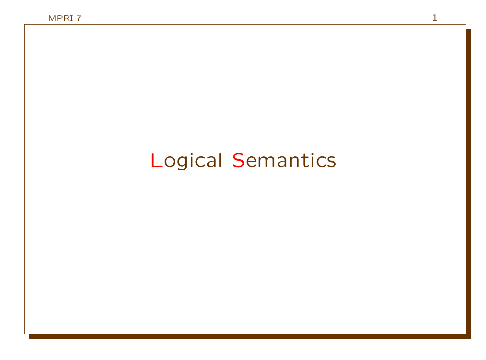# Logical Semantics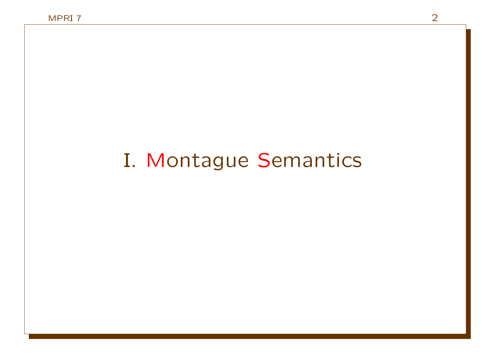# I. Montague Semantics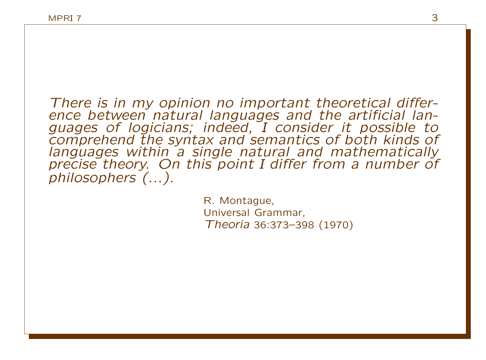There is in my opinion no important theoretical difference between natural languages and the artificial languages of logicians; indeed, I consider it possible to comprehend the syntax and semantics of both kinds of languages within a single natural and mathematically precise theory. On this point I differ from a number of philosophers (...).

> R. Montague, Universal Grammar, Theoria 36:373–398 (1970)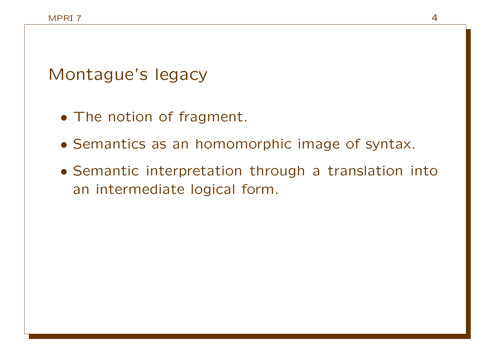Montague's legacy

- The notion of fragment.
- Semantics as an homomorphic image of syntax.
- Semantic interpretation through a translation into an intermediate logical form.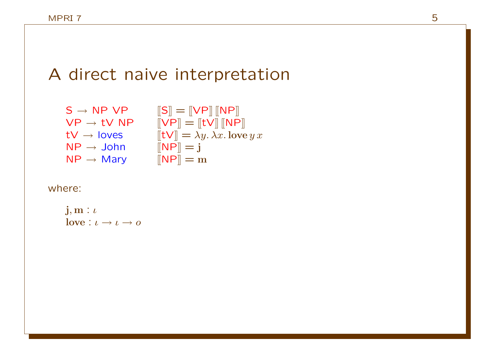### A direct naive interpretation

 $S \rightarrow NP VP$   $[|S|] = [VP] [NP]$  $\mathsf{VP}\to \mathsf{t}\mathsf{V}$   $\mathsf{NP}$   $\quad \llbracket \mathsf{VP}\rrbracket =\llbracket \mathsf{t}\mathsf{V}\rrbracket \llbracket \mathsf{NP}\rrbracket$  $\mathsf{t}\mathsf{V}\to \mathsf{loves}$   $[\![\mathsf{t}\mathsf{V}]\!]=\lambda y.\,\lambda x.\,\mathsf{love}\, y\, x$  $NP \rightarrow John$   $[NP] = j$  $NP \rightarrow Mary$   $[NP] = m$ 

where:

$$
\begin{array}{l}\n\mathbf{j}, \mathbf{m} : \iota \\
\mathbf{love} : \iota \to \iota \to o\n\end{array}
$$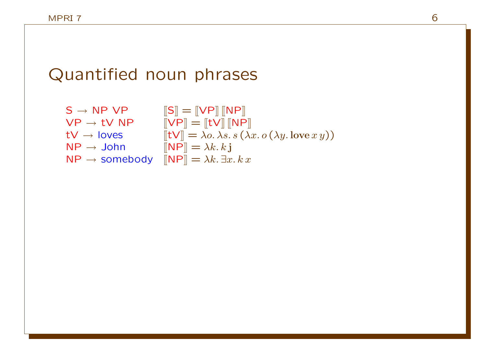# Quantified noun phrases

| $S \rightarrow NP VP$                   | $\left\ S\right\  = \left\ VP\right\  \left\ NP\right\ $                       |
|-----------------------------------------|--------------------------------------------------------------------------------|
| $VP \rightarrow tV NP$                  | $\Vert VP \Vert = \Vert tV \Vert \Vert NP \Vert$                               |
| $tV \rightarrow$ loves                  | $[[tV]] = \lambda o. \lambda s. s (\lambda x. o(\lambda y. \text{love } x y))$ |
| $\mathsf{NP} \rightarrow \mathsf{John}$ | $\ \mathbf{NP}\  = \lambda k. k \mathbf{j}$                                    |
| $NP \rightarrow$ somebody               | $\ \mathsf{NP}\  = \lambda k. \exists x. k x$                                  |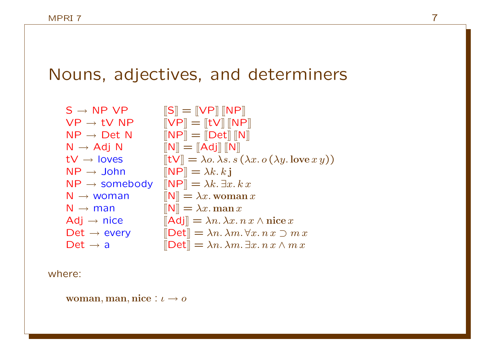# Nouns, adjectives, and determiners

| $S \rightarrow NP VP$     | $\left\ S\right\ =\left\ VP\right\ \left\ NP\right\ $                                                        |
|---------------------------|--------------------------------------------------------------------------------------------------------------|
| $VP \rightarrow tV NP$    | $\llbracket \mathsf{VP} \rrbracket = \llbracket \mathsf{tV} \rrbracket \, \llbracket \mathsf{NP} \rrbracket$ |
| $NP \rightarrow Det N$    | $\llbracket \textsf{NP} \rrbracket = \llbracket \textsf{Det} \rrbracket \, \llbracket \textsf{N} \rrbracket$ |
| $N \rightarrow Adj N$     | $\llbracket \mathsf{N} \rrbracket = \llbracket \mathsf{Adj} \rrbracket \, \llbracket \mathsf{N} \rrbracket$  |
| $tV \rightarrow$ loves    | $[\[\mathsf{t} \mathsf{V}]] = \lambda o. \lambda s. s (\lambda x. o (\lambda y. \text{love } x y))$          |
| $NP \rightarrow John$     | $\llbracket \mathsf{NP} \rrbracket = \lambda k. k \mathbf{j}$                                                |
| $NP \rightarrow$ somebody | $\mathbb{R}[\mathsf{NP}] = \lambda k. \exists x. k x$                                                        |
| $N \rightarrow woman$     | $\llbracket \mathsf{N} \rrbracket = \lambda x.$ woman x                                                      |
| $N \rightarrow man$       | $\mathbb{N} = \lambda x$ . man x                                                                             |
| $Adj \rightarrow nice$    | $\left\Vert \mathbf{Adj}\right\Vert =\lambda n.\lambda x.\, n\,x\wedge\textbf{nice}\,x$                      |
| Det $\rightarrow$ every   | $\Delta m \equiv \lambda n. \lambda m. \forall x. n x \supset m x$                                           |
| Det $\rightarrow$ a       | $\left[\mathsf{Det}\right] = \lambda n. \lambda m. \exists x. n x \wedge m x$                                |

where:

woman, man, nice :  $\iota \to o$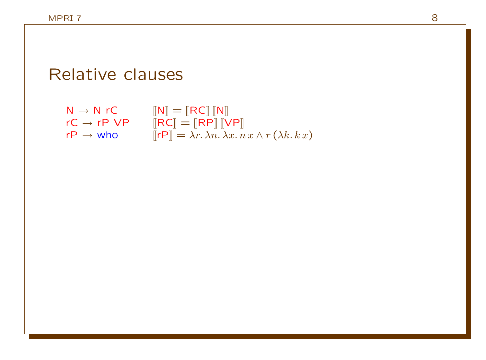# Relative clauses

 $N \rightarrow N$  rC  $[[N]] = [[RC]] [[N]]$  $rC \rightarrow rP \; VP \qquad [\![RC]\!] = [\![RP]\!] [\![VP]\!]$  $r \mathsf{P} \to \mathsf{who}$  [[rP]]  $= \lambda r. \, \lambda n. \, \lambda x. \, n \, x \wedge r \, (\lambda k. \, k \, x)$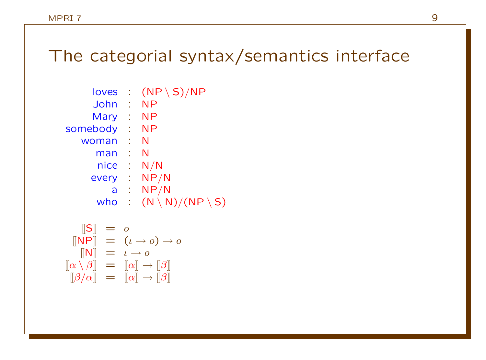# The categorial syntax/semantics interface

| loves                    | $(NP \ S)/NP$                      |
|--------------------------|------------------------------------|
| л.                       | <b>NP</b>                          |
| ÷                        | <b>NP</b>                          |
| $\mathcal{L}$            | NΡ                                 |
|                          | N                                  |
| t                        | N                                  |
| $\mathcal{L}$            | N/N                                |
| $\mathcal{I}_\mathrm{c}$ | NP/N                               |
| t                        | NP/N                               |
|                          | $(N \setminus N)/(NP \setminus S)$ |
|                          |                                    |

$$
\begin{array}{rcl}\n\llbracket \mathsf{S} \rrbracket & = & o \\
\llbracket \mathsf{NP} \rrbracket & = & (\iota \to o) \to o \\
\llbracket \mathsf{N} \rrbracket & = & \iota \to o \\
\llbracket \alpha \setminus \beta \rrbracket & = & \llbracket \alpha \rrbracket \to \llbracket \beta \rrbracket \\
\llbracket \beta / \alpha \rrbracket & = & \llbracket \alpha \rrbracket \to \llbracket \beta \rrbracket\n\end{array}
$$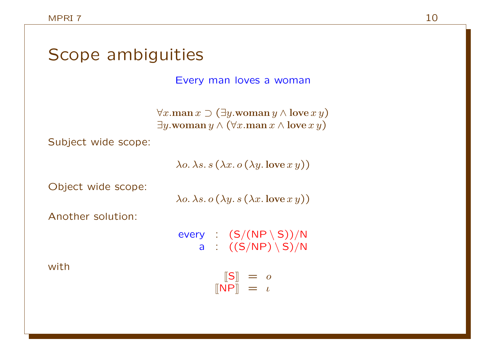| Scope ambiguities   |                                                                                                                                                         |  |  |  |
|---------------------|---------------------------------------------------------------------------------------------------------------------------------------------------------|--|--|--|
|                     | Every man loves a woman                                                                                                                                 |  |  |  |
|                     | $\forall x \dots$ man $x \supset (\exists y \dots$ woman $y \wedge$ love $x y)$<br>$\exists y.$ woman $y \wedge (\forall x.$ man $x \wedge$ love $x y)$ |  |  |  |
| Subject wide scope: |                                                                                                                                                         |  |  |  |
|                     | $\lambda$ o. $\lambda$ s. $s(\lambda x. o(\lambda y.$ love $x y))$                                                                                      |  |  |  |
| Object wide scope:  | $\lambda$ o. $\lambda$ s. o $(\lambda y. s (\lambda x.$ love $x y))$                                                                                    |  |  |  |
| Another solution:   |                                                                                                                                                         |  |  |  |
| with                | every : $(S/(NP \setminus S))/N$<br>a : $((S/NP) \setminus S)/N$                                                                                        |  |  |  |
|                     | $\begin{array}{rcl} \lbrack\lbrack \mathsf{S} \rbrack\rbrack & = & o \\ \lbrack\lbrack \mathsf{NP} \rbrack\rbrack & = & \iota \end{array}$              |  |  |  |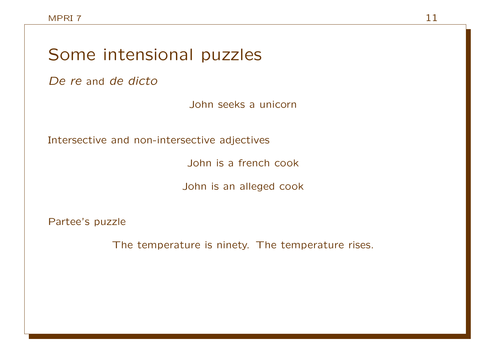## Some intensional puzzles

De re and de dicto

John seeks a unicorn

Intersective and non-intersective adjectives

John is a french cook

John is an alleged cook

Partee's puzzle

The temperature is ninety. The temperature rises.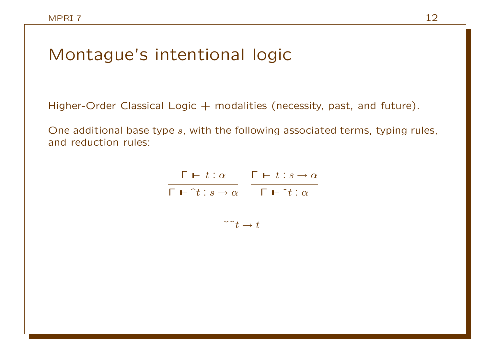### Montague's intentional logic

Higher-Order Classical Logic  $+$  modalities (necessity, past, and future).

One additional base type s, with the following associated terms, typing rules, and reduction rules:

> $\Gamma$   $\vdash t : \alpha$   $\Gamma$   $\vdash t : s \rightarrow \alpha$  $\Gamma \vdash \hat{} t : s \to \alpha \qquad \Gamma \vdash \check{} t : \alpha$

$$
\tilde{t} \to t
$$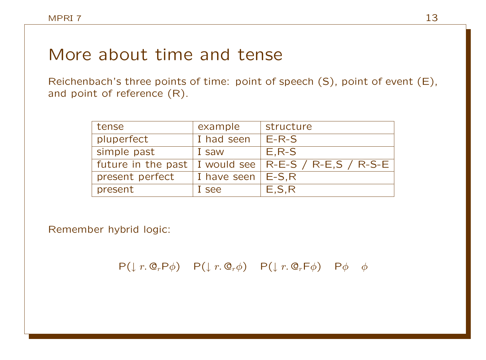### More about time and tense

Reichenbach's three points of time: point of speech (S), point of event (E), and point of reference (R).

| tense              | example             | structure                           |
|--------------------|---------------------|-------------------------------------|
| pluperfect         | I had seen          | $E-R-S$                             |
| simple past        | I saw               | $E, R-S$                            |
| future in the past |                     | I would see   R-E-S / R-E,S / R-S-E |
| present perfect    | I have seen $E-S,R$ |                                     |
| present            | I see               | E, S, R                             |

Remember hybrid logic:

 $P(\downarrow r. \mathbb{Q}_r P \phi)$   $P(\downarrow r. \mathbb{Q}_r \phi)$   $P(\downarrow r. \mathbb{Q}_r F \phi)$   $P \phi \phi$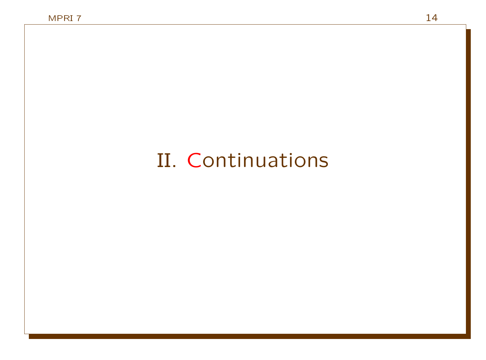# II. Continuations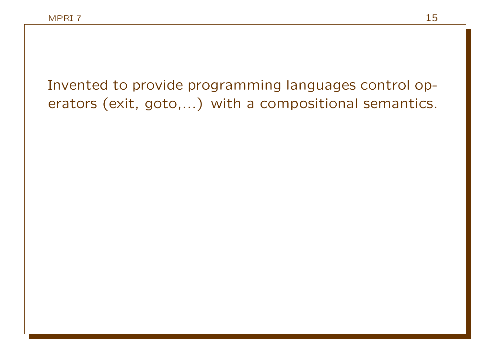Invented to provide programming languages control operators (exit, goto,...) with a compositional semantics.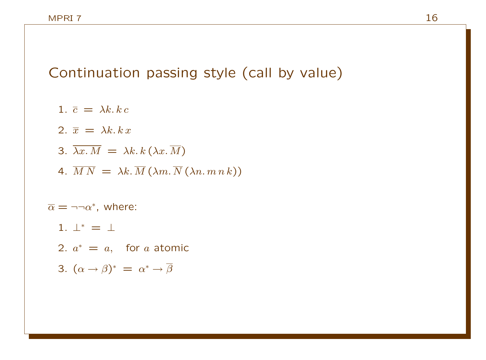Continuation passing style (call by value)

- 1.  $\bar{c} = \lambda k, k c$
- 2.  $\overline{x} = \lambda k, k x$
- 3.  $\overline{\lambda x.M} = \lambda k.k(\lambda x.\overline{M})$
- 4.  $\overline{M N} = \lambda k \cdot \overline{M} (\lambda m \cdot \overline{N} (\lambda n \cdot m n k))$

 $\overline{\alpha} = \neg \neg \alpha^*$ , where:

- 1.  $\perp^* = \perp$
- 2.  $a^* = a$ , for a atomic
- 3.  $(\alpha \to \beta)^* = \alpha^* \to \overline{\beta}$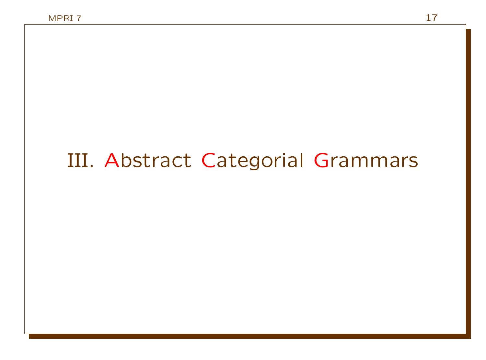# III. Abstract Categorial Grammars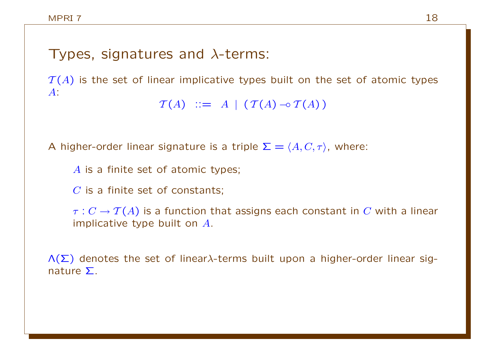#### Types, signatures and  $\lambda$ -terms:

 $T(A)$  is the set of linear implicative types built on the set of atomic types A:

```
\mathcal{T}(A) ::= A | (\mathcal{T}(A) \neg \circ \mathcal{T}(A))
```
A higher-order linear signature is a triple  $\Sigma = \langle A, C, \tau \rangle$ , where:

A is a finite set of atomic types;

 $C$  is a finite set of constants;

 $\tau: C \to \mathcal{T}(A)$  is a function that assigns each constant in C with a linear implicative type built on A.

 $\Lambda(\Sigma)$  denotes the set of linear $\lambda$ -terms built upon a higher-order linear signature Σ.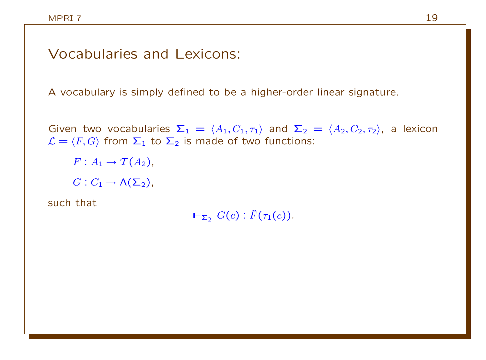#### Vocabularies and Lexicons:

A vocabulary is simply defined to be a higher-order linear signature.

Given two vocabularies  $\Sigma_1 = \langle A_1, C_1, \tau_1 \rangle$  and  $\Sigma_2 = \langle A_2, C_2, \tau_2 \rangle$ , a lexicon  $\mathcal{L} = \langle F, G \rangle$  from  $\Sigma_1$  to  $\Sigma_2$  is made of two functions:

 $F: A_1 \rightarrow \mathcal{T}(A_2)$ ,

 $G: C_1 \rightarrow \Lambda(\Sigma_2)$ ,

such that

 $\vdash_{\Sigma_2} G(c)$ :  $\widehat{F}(\tau_1(c))$ .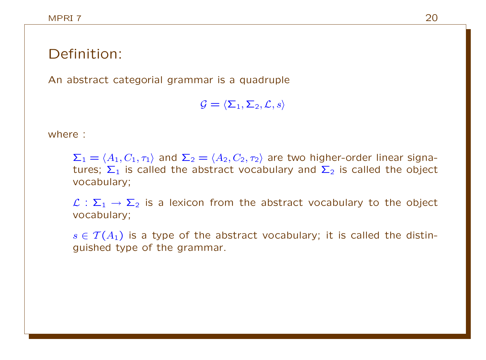#### Definition:

An abstract categorial grammar is a quadruple

 $\mathcal{G} = \langle \Sigma_1, \Sigma_2, \mathcal{L}, s \rangle$ 

where :

 $\Sigma_1 = \langle A_1, C_1, \tau_1 \rangle$  and  $\Sigma_2 = \langle A_2, C_2, \tau_2 \rangle$  are two higher-order linear signatures;  $\Sigma_1$  is called the abstract vocabulary and  $\Sigma_2$  is called the object vocabulary;

 $\mathcal{L}: \Sigma_1 \to \Sigma_2$  is a lexicon from the abstract vocabulary to the object vocabulary;

 $s \in \mathcal{T}(A_1)$  is a type of the abstract vocabulary; it is called the distinguished type of the grammar.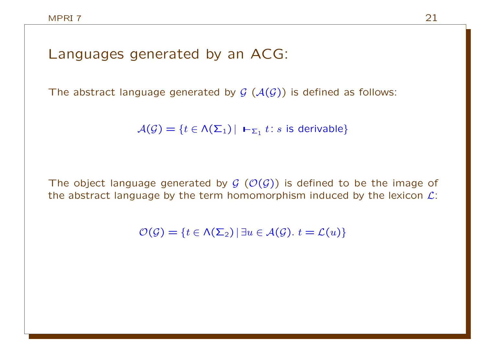#### Languages generated by an ACG:

The abstract language generated by  $G(\mathcal{A}(\mathcal{G}))$  is defined as follows:

 $\mathcal{A}(\mathcal{G}) = \{t \in \mathcal{N}(\mathsf{\Sigma}_1) \, | \, \mathsf{L}_{\mathsf{\Sigma}_1} t : s \text{ is derivable}\}$ 

The object language generated by  $G(\mathcal{O}(G))$  is defined to be the image of the abstract language by the term homomorphism induced by the lexicon  $\mathcal{L}$ :

 $\mathcal{O}(\mathcal{G}) = \{t \in \Lambda(\Sigma_2) | \exists u \in \mathcal{A}(\mathcal{G}), t = \mathcal{L}(u)\}\$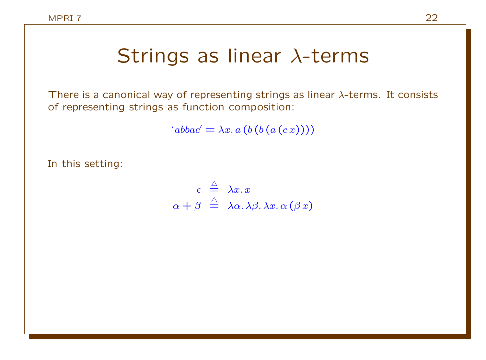# Strings as linear λ-terms

There is a canonical way of representing strings as linear  $\lambda$ -terms. It consists of representing strings as function composition:

 $'abbac' = \lambda x. a (b (b (a (c x))))$ 

In this setting:

$$
\epsilon \stackrel{\triangle}{=} \lambda x. x
$$
  

$$
\alpha + \beta \stackrel{\triangle}{=} \lambda \alpha. \lambda \beta. \lambda x. \alpha (\beta x)
$$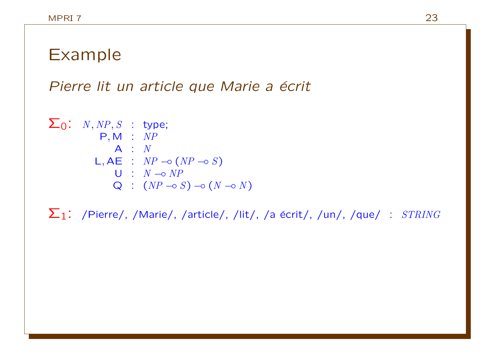# Example

Pierre lit un article que Marie a écrit

$$
\Sigma_0: N, NP, S : type;
$$
  
\nP, M : NP  
\nA : N  
\nL, AE : NP \nightharpoonup (NP \nightharpoonup S)  
\nU : N \nightharpoonup NP  
\nQ : (NP \nightharpoonup S) \nightharpoonup (N \nightharpoonup N)

 $\Sigma_1$ : /Pierre/, /Marie/, /article/, /lit/, /a écrit/, /un/, /que/ :  $STRING$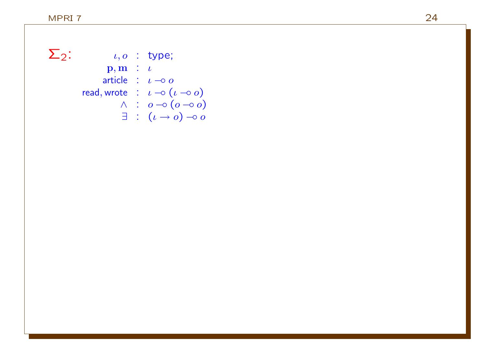$\Sigma_2$ :  $\iota, o$  : type;  $\mathbf{p}, \mathbf{m}$  :  $\iota$ article :  $\iota \rightarrow o$ read, wrote  $\;\;:\;\; \iota \multimap (\iota \multimap o)$  $\wedge$  :  $o$   $\multimap$   $(o \multimap o)$  $\exists$  :  $(\iota \to o) \multimap o$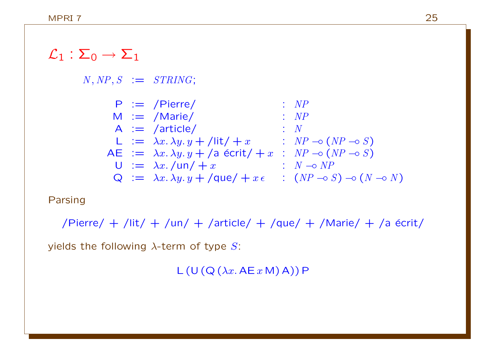### $\mathcal{L}_1 : \Sigma_0 \rightarrow \Sigma_1$

 $N, NP, S := STRING;$ 

| $P := \text{Pierre/}$                                    | : $NP$                                               |
|----------------------------------------------------------|------------------------------------------------------|
| $M := \text{Marie/}$                                     | : $NP$                                               |
| $A := \text{article/}$                                   | : $N$                                                |
| $L := \lambda x. \lambda y. y + \text{lit/} + x$         | : $NP \rightarrow (NP \rightarrow S)$                |
| $AE := \lambda x. \lambda y. y + \text{aa (scrit/} + x)$ | : $NP \rightarrow (NP \rightarrow S)$                |
| $U := \lambda x. \text{au/} + x$                         | : $N \rightarrow NP$                                 |
| $Q := \lambda x. \lambda y. y + \text{que/} + x \in$     | : $(NP \rightarrow S) \rightarrow (N \rightarrow N)$ |

#### Parsing

/Pierre/ + /lit/ + /un/ + /article/ + /que/ + /Marie/ + /a  $\acute{e}$ crit/ yields the following  $\lambda$ -term of type S:

 $L (U (Q (\lambda x. AE x M) A)) P$